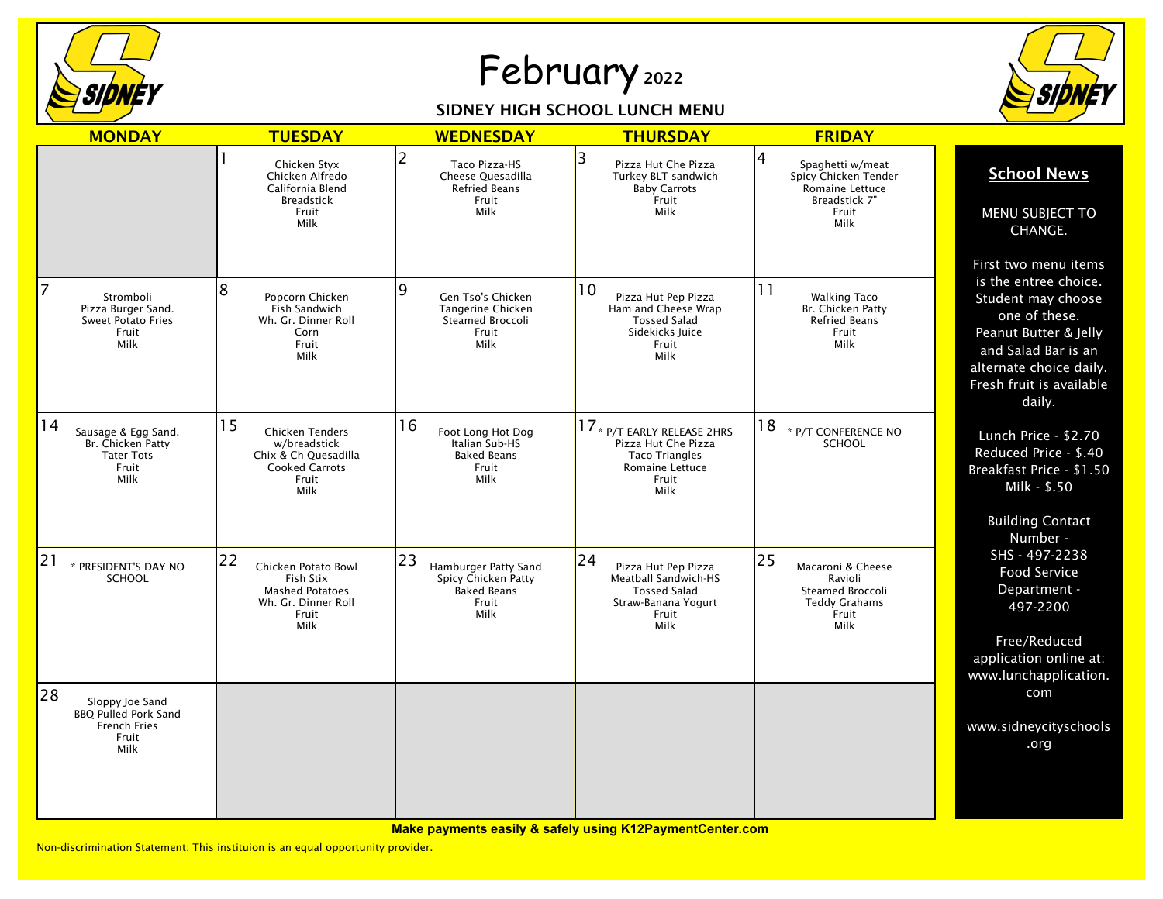

## February <sup>2022</sup>

## SIDNEY HIGH SCHOOL LUNCH MENU



| <b>MONDAY</b>                                                                                | <b>TUESDAY</b>                                                                                                 | <b>WEDNESDAY</b>                                                                         | <b>THURSDAY</b>                                                                                                         | <b>FRIDAY</b>                                                                                      |                                                                                                                                                                                                       |
|----------------------------------------------------------------------------------------------|----------------------------------------------------------------------------------------------------------------|------------------------------------------------------------------------------------------|-------------------------------------------------------------------------------------------------------------------------|----------------------------------------------------------------------------------------------------|-------------------------------------------------------------------------------------------------------------------------------------------------------------------------------------------------------|
|                                                                                              | Chicken Styx<br>Chicken Alfredo<br>California Blend<br><b>Breadstick</b><br>Fruit<br>Milk                      | 2<br>Taco Pizza-HS<br>Cheese Quesadilla<br><b>Refried Beans</b><br>Fruit<br>Milk         | 3<br>Pizza Hut Che Pizza<br>Turkey BLT sandwich<br><b>Baby Carrots</b><br>Fruit<br>Milk                                 | 4<br>Spaghetti w/meat<br>Spicy Chicken Tender<br>Romaine Lettuce<br>Breadstick 7"<br>Fruit<br>Milk | <b>School News</b><br>MENU SUBJECT TO<br>CHANGE.                                                                                                                                                      |
| 7<br>Stromboli<br>Pizza Burger Sand.<br><b>Sweet Potato Fries</b><br>Fruit<br>Milk           | 8<br>Popcorn Chicken<br>Fish Sandwich<br>Wh. Gr. Dinner Roll<br>Corn<br>Fruit<br>Milk                          | 9<br>Gen Tso's Chicken<br>Tangerine Chicken<br>Steamed Broccoli<br>Fruit<br>Milk         | 10<br>Pizza Hut Pep Pizza<br>Ham and Cheese Wrap<br><b>Tossed Salad</b><br>Sidekicks Juice<br>Fruit<br>Milk             | 11<br><b>Walking Taco</b><br>Br. Chicken Patty<br><b>Refried Beans</b><br>Fruit<br>Milk            | First two menu items<br>is the entree choice.<br>Student may choose<br>one of these.<br>Peanut Butter & Jelly<br>and Salad Bar is an<br>alternate choice daily.<br>Fresh fruit is available<br>daily. |
| 14<br>Sausage & Egg Sand.<br>Br. Chicken Patty<br><b>Tater Tots</b><br>Fruit<br>Milk         | 15<br><b>Chicken Tenders</b><br>w/breadstick<br>Chix & Ch Quesadilla<br><b>Cooked Carrots</b><br>Fruit<br>Milk | 16<br>Foot Long Hot Dog<br>Italian Sub-HS<br><b>Baked Beans</b><br>Fruit<br>Milk         | 17 * P/T EARLY RELEASE 2HRS<br>Pizza Hut Che Pizza<br><b>Taco Triangles</b><br>Romaine Lettuce<br>Fruit<br>Milk         | 18<br>* P/T CONFERENCE NO<br><b>SCHOOL</b>                                                         | Lunch Price - \$2.70<br>Reduced Price - \$.40<br>Breakfast Price - \$1.50<br>Milk - \$.50<br><b>Building Contact</b><br>Number -                                                                      |
| 21<br>* PRESIDENT'S DAY NO<br><b>SCHOOL</b>                                                  | 22<br>Chicken Potato Bowl<br>Fish Stix<br><b>Mashed Potatoes</b><br>Wh. Gr. Dinner Roll<br>Fruit<br>Milk       | 23<br>Hamburger Patty Sand<br>Spicy Chicken Patty<br><b>Baked Beans</b><br>Fruit<br>Milk | 24<br>Pizza Hut Pep Pizza<br><b>Meatball Sandwich-HS</b><br><b>Tossed Salad</b><br>Straw-Banana Yogurt<br>Fruit<br>Milk | 25<br>Macaroni & Cheese<br>Ravioli<br>Steamed Broccoli<br><b>Teddy Grahams</b><br>Fruit<br>Milk    | SHS - 497-2238<br><b>Food Service</b><br>Department -<br>497-2200<br>Free/Reduced<br>application online at:<br>www.lunchapplication.                                                                  |
| 28<br>Sloppy Joe Sand<br><b>BBQ Pulled Pork Sand</b><br><b>French Fries</b><br>Fruit<br>Milk |                                                                                                                |                                                                                          |                                                                                                                         |                                                                                                    | com<br>www.sidneycityschools<br>.org                                                                                                                                                                  |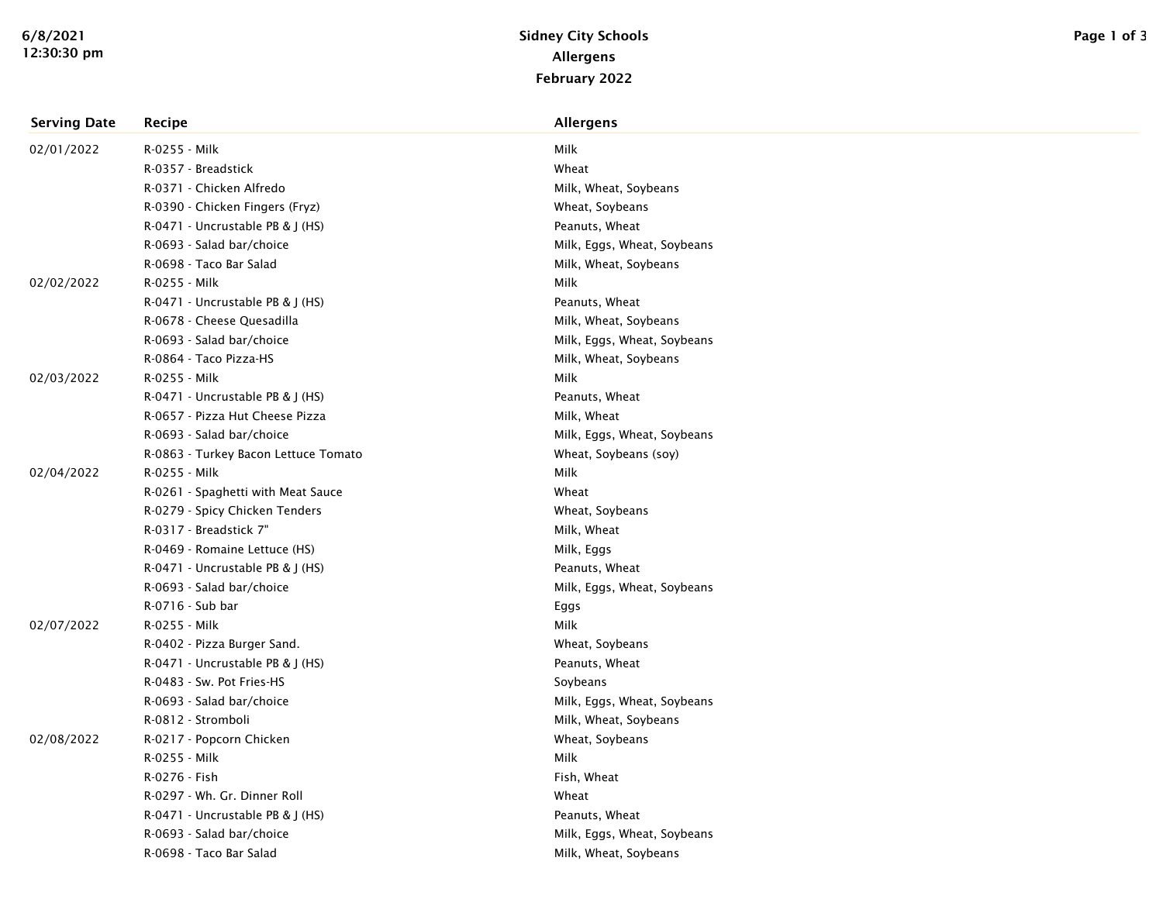| <b>Serving Date</b> | <b>Recipe</b>                        | <b>Allergens</b>            |
|---------------------|--------------------------------------|-----------------------------|
| 02/01/2022          | R-0255 - Milk                        | Milk                        |
|                     | R-0357 - Breadstick                  | Wheat                       |
|                     | R-0371 - Chicken Alfredo             | Milk, Wheat, Soybeans       |
|                     | R-0390 - Chicken Fingers (Fryz)      | Wheat, Soybeans             |
|                     | R-0471 - Uncrustable PB & J (HS)     | Peanuts, Wheat              |
|                     | R-0693 - Salad bar/choice            | Milk, Eggs, Wheat, Soybeans |
|                     | R-0698 - Taco Bar Salad              | Milk, Wheat, Soybeans       |
| 02/02/2022          | R-0255 - Milk                        | Milk                        |
|                     | R-0471 - Uncrustable PB & J (HS)     | Peanuts, Wheat              |
|                     | R-0678 - Cheese Quesadilla           | Milk, Wheat, Soybeans       |
|                     | R-0693 - Salad bar/choice            | Milk, Eggs, Wheat, Soybeans |
|                     | R-0864 - Taco Pizza-HS               | Milk, Wheat, Soybeans       |
| 02/03/2022          | R-0255 - Milk                        | Milk                        |
|                     | R-0471 - Uncrustable PB & J (HS)     | Peanuts, Wheat              |
|                     | R-0657 - Pizza Hut Cheese Pizza      | Milk, Wheat                 |
|                     | R-0693 - Salad bar/choice            | Milk, Eggs, Wheat, Soybeans |
|                     | R-0863 - Turkey Bacon Lettuce Tomato | Wheat, Soybeans (soy)       |
| 02/04/2022          | R-0255 - Milk                        | Milk                        |
|                     | R-0261 - Spaghetti with Meat Sauce   | Wheat                       |
|                     | R-0279 - Spicy Chicken Tenders       | Wheat, Soybeans             |
|                     | R-0317 - Breadstick 7"               | Milk, Wheat                 |
|                     | R-0469 - Romaine Lettuce (HS)        | Milk, Eggs                  |
|                     | R-0471 - Uncrustable PB & J (HS)     | Peanuts, Wheat              |
|                     | R-0693 - Salad bar/choice            | Milk, Eggs, Wheat, Soybeans |
|                     | R-0716 - Sub bar                     | Eggs                        |
| 02/07/2022          | R-0255 - Milk                        | Milk                        |
|                     | R-0402 - Pizza Burger Sand.          | Wheat, Soybeans             |
|                     | R-0471 - Uncrustable PB & J (HS)     | Peanuts, Wheat              |
|                     | R-0483 - Sw. Pot Fries-HS            | Soybeans                    |
|                     | R-0693 - Salad bar/choice            | Milk, Eggs, Wheat, Soybeans |
|                     | R-0812 - Stromboli                   | Milk, Wheat, Soybeans       |
| 02/08/2022          | R-0217 - Popcorn Chicken             | Wheat, Soybeans             |
|                     | R-0255 - Milk                        | Milk                        |
|                     | R-0276 - Fish                        | Fish, Wheat                 |
|                     | R-0297 - Wh. Gr. Dinner Roll         | Wheat                       |
|                     | R-0471 - Uncrustable PB & J (HS)     | Peanuts, Wheat              |
|                     | R-0693 - Salad bar/choice            | Milk, Eggs, Wheat, Soybeans |
|                     | R-0698 - Taco Bar Salad              | Milk, Wheat, Soybeans       |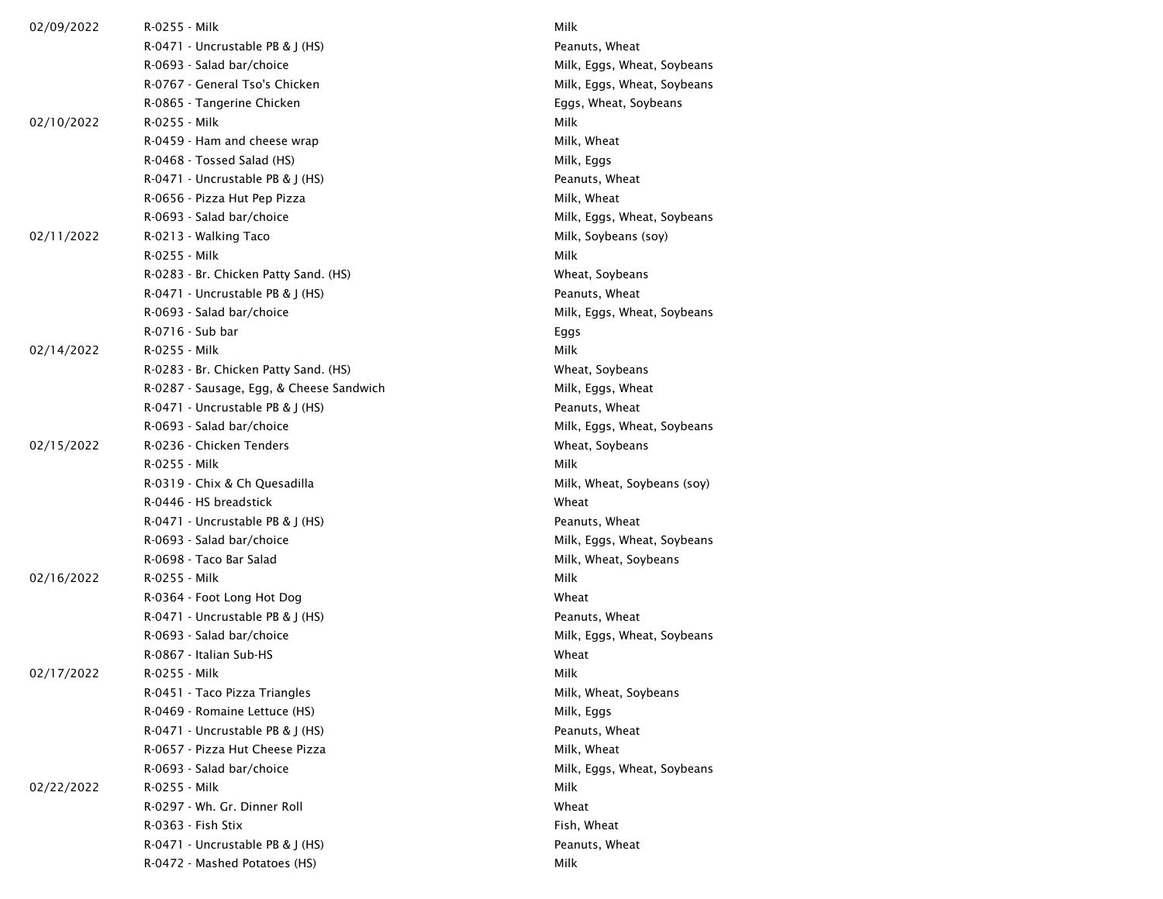| 02/09/2022 | R-0255 - Milk                            | Milk                        |  |
|------------|------------------------------------------|-----------------------------|--|
|            | $R-0471$ - Uncrustable PB & J (HS)       | Peanuts, Wheat              |  |
|            | R-0693 - Salad bar/choice                | Milk, Eggs, Wheat, Soybeans |  |
|            | R-0767 - General Tso's Chicken           | Milk, Eggs, Wheat, Soybeans |  |
|            | R-0865 - Tangerine Chicken               | Eggs, Wheat, Soybeans       |  |
| 02/10/2022 | R-0255 - Milk                            | Milk                        |  |
|            | R-0459 - Ham and cheese wrap             | Milk, Wheat                 |  |
|            | R-0468 - Tossed Salad (HS)               | Milk, Eggs                  |  |
|            | R-0471 - Uncrustable PB & J (HS)         | Peanuts, Wheat              |  |
|            | R-0656 - Pizza Hut Pep Pizza             | Milk, Wheat                 |  |
|            | R-0693 - Salad bar/choice                | Milk, Eggs, Wheat, Soybeans |  |
| 02/11/2022 | R-0213 - Walking Taco                    | Milk, Soybeans (soy)        |  |
|            | R-0255 - Milk                            | Milk                        |  |
|            | R-0283 - Br. Chicken Patty Sand. (HS)    | Wheat, Soybeans             |  |
|            | R-0471 - Uncrustable PB & J (HS)         | Peanuts, Wheat              |  |
|            | R-0693 - Salad bar/choice                | Milk, Eggs, Wheat, Soybeans |  |
|            | R-0716 - Sub bar                         | Eggs                        |  |
| 02/14/2022 | R-0255 - Milk                            | Milk                        |  |
|            | R-0283 - Br. Chicken Patty Sand. (HS)    | Wheat, Soybeans             |  |
|            | R-0287 - Sausage, Egg, & Cheese Sandwich | Milk, Eggs, Wheat           |  |
|            | R-0471 - Uncrustable PB & J (HS)         | Peanuts, Wheat              |  |
|            | R-0693 - Salad bar/choice                | Milk, Eggs, Wheat, Soybeans |  |
| 02/15/2022 | R-0236 - Chicken Tenders                 | Wheat, Soybeans             |  |
|            | R-0255 - Milk                            | Milk                        |  |
|            | R-0319 - Chix & Ch Quesadilla            | Milk, Wheat, Soybeans (soy) |  |
|            | R-0446 - HS breadstick                   | Wheat                       |  |
|            | R-0471 - Uncrustable PB & J (HS)         | Peanuts, Wheat              |  |
|            | R-0693 - Salad bar/choice                | Milk, Eggs, Wheat, Soybeans |  |
|            | R-0698 - Taco Bar Salad                  | Milk, Wheat, Soybeans       |  |
| 02/16/2022 | R-0255 - Milk                            | Milk                        |  |
|            | R-0364 - Foot Long Hot Dog               | Wheat                       |  |
|            | R-0471 - Uncrustable PB & J (HS)         | Peanuts, Wheat              |  |
|            | R-0693 - Salad bar/choice                | Milk, Eggs, Wheat, Soybeans |  |
|            | R-0867 - Italian Sub-HS                  | Wheat                       |  |
| 02/17/2022 | R-0255 - Milk                            | Milk                        |  |
|            | R-0451 - Taco Pizza Triangles            | Milk, Wheat, Soybeans       |  |
|            | R-0469 - Romaine Lettuce (HS)            | Milk, Eggs                  |  |
|            | R-0471 - Uncrustable PB & J (HS)         | Peanuts, Wheat              |  |
|            | R-0657 - Pizza Hut Cheese Pizza          | Milk, Wheat                 |  |
|            | R-0693 - Salad bar/choice                | Milk, Eggs, Wheat, Soybeans |  |
| 02/22/2022 | R-0255 - Milk                            | Milk                        |  |
|            | R-0297 - Wh. Gr. Dinner Roll             | Wheat                       |  |
|            | R-0363 - Fish Stix                       | Fish, Wheat                 |  |
|            | R-0471 - Uncrustable PB & J (HS)         | Peanuts, Wheat              |  |
|            | R-0472 - Mashed Potatoes (HS)            | Milk                        |  |